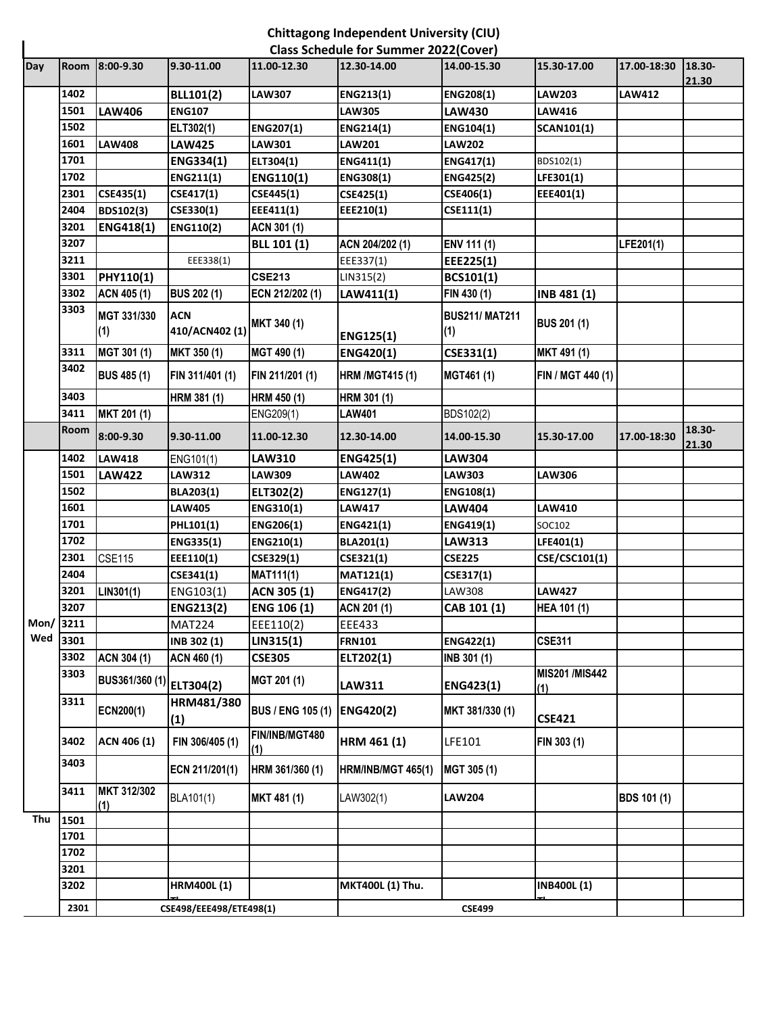## **Chittagong Independent University (CIU)**

|          | <b>Class Schedule for Summer 2022(Cover)</b> |                         |                       |                          |                           |                              |                             |               |                 |  |
|----------|----------------------------------------------|-------------------------|-----------------------|--------------------------|---------------------------|------------------------------|-----------------------------|---------------|-----------------|--|
| Day      | <b>Room</b>                                  | $8:00-9.30$             | 9.30-11.00            | 11.00-12.30              | 12.30-14.00               | 14.00-15.30                  | 15.30-17.00                 | 17.00-18:30   | 18.30-<br>21.30 |  |
|          | 1402                                         |                         | <b>BLL101(2)</b>      | <b>LAW307</b>            | ENG213(1)                 | ENG208(1)                    | <b>LAW203</b>               | <b>LAW412</b> |                 |  |
|          | 1501                                         | <b>LAW406</b>           | <b>ENG107</b>         |                          | <b>LAW305</b>             | <b>LAW430</b>                | LAW416                      |               |                 |  |
|          | 1502                                         |                         | ELT302(1)             | ENG207(1)                | ENG214(1)                 | ENG104(1)                    | <b>SCAN101(1)</b>           |               |                 |  |
|          | 1601                                         | <b>LAW408</b>           | <b>LAW425</b>         | LAW301                   | <b>LAW201</b>             | <b>LAW202</b>                |                             |               |                 |  |
|          | 1701                                         |                         | ENG334(1)             | ELT304(1)                | ENG411(1)                 | ENG417(1)                    | BDS102(1)                   |               |                 |  |
|          | 1702                                         |                         | ENG211(1)             | <b>ENG110(1)</b>         | ENG308(1)                 | <b>ENG425(2)</b>             | LFE301(1)                   |               |                 |  |
|          | 2301                                         | CSE435(1)               | CSE417(1)             | CSE445(1)                | CSE425(1)                 | CSE406(1)                    | EEE401(1)                   |               |                 |  |
|          | 2404                                         | BDS102(3)               | CSE330(1)             | EEE411(1)                | EEE210(1)                 | CSE111(1)                    |                             |               |                 |  |
|          | 3201                                         | ENG418(1)               | <b>ENG110(2)</b>      | ACN 301 (1)              |                           |                              |                             |               |                 |  |
|          | 3207                                         |                         |                       | BLL 101 (1)              | ACN 204/202 (1)           | ENV 111 (1)                  |                             | LFE201(1)     |                 |  |
|          | 3211                                         |                         | EEE338(1)             |                          | EEE337(1)                 | EEE225(1)                    |                             |               |                 |  |
|          | 3301                                         | PHY110(1)               |                       | <b>CSE213</b>            | LIN315(2)                 | BCS101(1)                    |                             |               |                 |  |
|          | 3302                                         | ACN 405 (1)             | <b>BUS 202 (1)</b>    | ECN 212/202 (1)          | LAW411(1)                 | FIN 430 (1)                  | INB 481 (1)                 |               |                 |  |
|          | 3303                                         | MGT 331/330<br>(1)      | ACN<br>410/ACN402 (1) | MKT 340 (1)              | ENG125(1)                 | <b>BUS211/ MAT211</b><br>(1) | <b>BUS 201 (1)</b>          |               |                 |  |
|          | 3311                                         | MGT 301 (1)             | MKT 350 (1)           | MGT 490 (1)              | ENG420(1)                 | CSE331(1)                    | MKT 491 (1)                 |               |                 |  |
|          | 3402                                         | <b>BUS 485 (1)</b>      | FIN 311/401 (1)       | FIN 211/201 (1)          | <b>HRM /MGT415 (1)</b>    | MGT461 (1)                   | FIN / MGT 440 (1)           |               |                 |  |
|          | 3403                                         |                         | HRM 381 (1)           | HRM 450 (1)              | HRM 301 (1)               |                              |                             |               |                 |  |
|          | 3411                                         | MKT 201 (1)             |                       | ENG209(1)                | <b>LAW401</b>             | BDS102(2)                    |                             |               |                 |  |
|          | Room                                         | 8:00-9.30               | 9.30-11.00            | 11.00-12.30              | 12.30-14.00               | 14.00-15.30                  | 15.30-17.00                 | 17.00-18:30   | 18.30-<br>21.30 |  |
|          | 1402                                         | <b>LAW418</b>           | ENG101(1)             | <b>LAW310</b>            | <b>ENG425(1)</b>          | <b>LAW304</b>                |                             |               |                 |  |
|          | 1501                                         | <b>LAW422</b>           | <b>LAW312</b>         | <b>LAW309</b>            | <b>LAW402</b>             | <b>LAW303</b>                | LAW306                      |               |                 |  |
|          | 1502                                         |                         | <b>BLA203(1)</b>      | ELT302(2)                | ENG127(1)                 | ENG108(1)                    |                             |               |                 |  |
|          | 1601                                         |                         | <b>LAW405</b>         | ENG310(1)                | <b>LAW417</b>             | LAW404                       | LAW410                      |               |                 |  |
|          | 1701                                         |                         | <b>PHL101(1)</b>      | ENG206(1)                | ENG421(1)                 | ENG419(1)                    | SOC102                      |               |                 |  |
|          | 1702                                         |                         | ENG335(1)             | ENG210(1)                | BLA201(1)                 | <b>LAW313</b>                | LFE401(1)                   |               |                 |  |
|          | 2301                                         | <b>CSE115</b>           | EEE110(1)             | CSE329(1)                | CSE321(1)                 | <b>CSE225</b>                | CSE/CSC101(1)               |               |                 |  |
|          | 2404                                         |                         | CSE341(1)             | <b>MAT111(1)</b>         | MAT121(1)                 | CSE317(1)                    |                             |               |                 |  |
|          | 3201                                         | LIN301(1)               | ENG103(1)             | ACN 305 (1)              | ENG417(2)                 | LAW308                       | <b>LAW427</b>               |               |                 |  |
|          | 3207                                         |                         | ENG213(2)             | <b>ENG 106 (1)</b>       | ACN 201 (1)               | CAB 101 (1)                  | HEA 101 (1)                 |               |                 |  |
| Mon/3211 |                                              |                         | <b>MAT224</b>         | EEE110(2)                | EEE433                    |                              |                             |               |                 |  |
| Wed      | 3301                                         |                         | INB 302 (1)           | LIN315(1)                | <b>FRN101</b>             | ENG422(1)                    | <b>CSE311</b>               |               |                 |  |
|          | 3302                                         | ACN 304 (1)             | ACN 460 (1)           | <b>CSE305</b>            | ELT202(1)                 | INB 301 (1)                  |                             |               |                 |  |
|          | 3303                                         | BUS361/360 (1)          | ELT304(2)             | MGT 201 (1)              | LAW311                    | ENG423(1)                    | <b>MIS201/MIS442</b><br>(1) |               |                 |  |
|          | 3311                                         | ECN200(1)               | HRM481/380<br>(1)     | <b>BUS / ENG 105 (1)</b> | <b>ENG420(2)</b>          | MKT 381/330 (1)              | <b>CSE421</b>               |               |                 |  |
|          | 3402                                         | ACN 406 (1)             | FIN 306/405 (1)       | FIN/INB/MGT480<br>(1)    | HRM 461 (1)               | LFE101                       | FIN 303 (1)                 |               |                 |  |
|          | 3403                                         |                         | ECN 211/201(1)        | HRM 361/360 (1)          | <b>HRM/INB/MGT 465(1)</b> | MGT 305 (1)                  |                             |               |                 |  |
|          | 3411                                         | MKT 312/302<br>(1)      | BLA101(1)             | MKT 481 (1)              | LAW302(1)                 | <b>LAW204</b>                |                             | BDS 101 (1)   |                 |  |
| Thu      | 1501                                         |                         |                       |                          |                           |                              |                             |               |                 |  |
|          | 1701                                         |                         |                       |                          |                           |                              |                             |               |                 |  |
|          | 1702                                         |                         |                       |                          |                           |                              |                             |               |                 |  |
|          | 3201                                         |                         |                       |                          |                           |                              |                             |               |                 |  |
|          | 3202                                         |                         | <b>HRM400L (1)</b>    |                          | MKT400L (1) Thu.          |                              | <b>INB400L (1)</b>          |               |                 |  |
|          | 2301                                         | CSE498/EEE498/ETE498(1) |                       |                          | <b>CSE499</b>             |                              |                             |               |                 |  |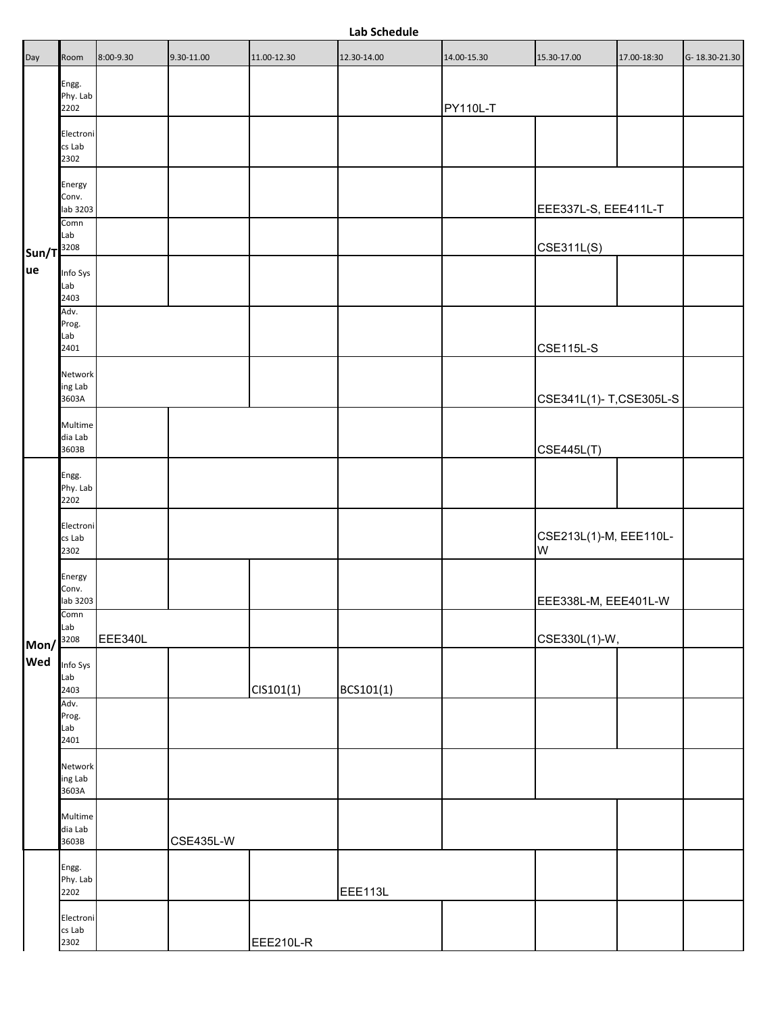## **Lab Schedule**

| Day                           | Room                                | 8:00-9.30 | 9.30-11.00 | 11.00-12.30 | 12.30-14.00 | 14.00-15.30     | 15.30-17.00                 | 17.00-18:30 | G-18.30-21.30 |
|-------------------------------|-------------------------------------|-----------|------------|-------------|-------------|-----------------|-----------------------------|-------------|---------------|
| $Sun/T$ <sup>3208</sup><br>ue | Engg.<br>Phy. Lab<br>2202           |           |            |             |             | <b>PY110L-T</b> |                             |             |               |
|                               | Electroni<br>cs Lab<br>2302         |           |            |             |             |                 |                             |             |               |
|                               | Energy<br>Conv.<br>lab 3203<br>Comn |           |            |             |             |                 | EEE337L-S, EEE411L-T        |             |               |
|                               | Lab                                 |           |            |             |             |                 | <b>CSE311L(S)</b>           |             |               |
|                               | Info Sys<br>Lab<br>2403             |           |            |             |             |                 |                             |             |               |
|                               | Adv.<br>Prog.<br>Lab<br>2401        |           |            |             |             |                 | <b>CSE115L-S</b>            |             |               |
|                               | Network<br>ing Lab<br>3603A         |           |            |             |             |                 | CSE341L(1)-T,CSE305L-S      |             |               |
|                               | Multime<br>dia Lab<br>3603B         |           |            |             |             |                 | <b>CSE445L(T)</b>           |             |               |
|                               | Engg.<br>Phy. Lab<br>2202           |           |            |             |             |                 |                             |             |               |
|                               | Electroni<br>cs Lab<br>2302         |           |            |             |             |                 | CSE213L(1)-M, EEE110L-<br>W |             |               |
|                               | Energy<br>Conv.<br>lab 3203         |           |            |             |             |                 | EEE338L-M, EEE401L-W        |             |               |
| Mon/                          | Comn<br>Lab<br>3208                 | EEE340L   |            |             |             |                 | CSE330L(1)-W,               |             |               |
| Wed                           | Info Sys<br>Lab<br>2403             |           |            | CIS101(1)   | BCS101(1)   |                 |                             |             |               |
|                               | Adv.<br>Prog.<br>Lab<br>2401        |           |            |             |             |                 |                             |             |               |
|                               | Network<br>ing Lab<br>3603A         |           |            |             |             |                 |                             |             |               |
|                               | Multime<br>dia Lab<br>3603B         |           | CSE435L-W  |             |             |                 |                             |             |               |
|                               | Engg.<br>Phy. Lab<br>2202           |           |            |             | EEE113L     |                 |                             |             |               |
|                               | Electroni<br>cs Lab<br>2302         |           |            | EEE210L-R   |             |                 |                             |             |               |